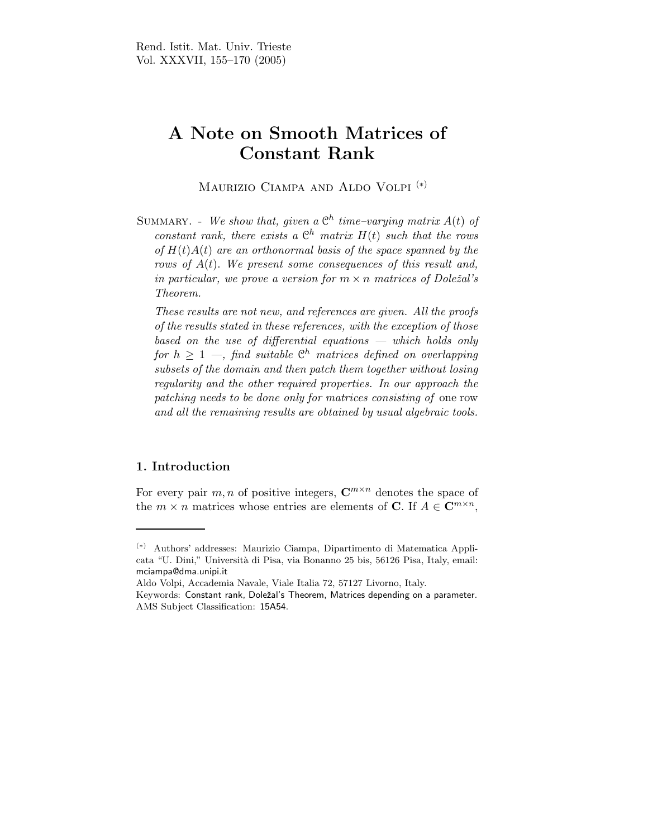# A Note on Smooth Matrices of Constant Rank

Maurizio Ciampa and Aldo Volpi (∗)

SUMMARY. - We show that, given a  $\mathfrak{C}^h$  time-varying matrix  $A(t)$  of constant rank, there exists a  $\mathbb{C}^h$  matrix  $H(t)$  such that the rows of  $H(t)A(t)$  are an orthonormal basis of the space spanned by the rows of  $A(t)$ . We present some consequences of this result and, in particular, we prove a version for  $m \times n$  matrices of Doležal's Theorem.

These results are not new, and references are given. All the proofs of the results stated in these references, with the exception of those based on the use of differential equations — which holds only for  $h \geq 1$  —, find suitable  $\mathcal{C}^h$  matrices defined on overlapping subsets of the domain and then patch them together without losing regularity and the other required properties. In our approach the patching needs to be done only for matrices consisting of one row and all the remaining results are obtained by usual algebraic tools.

### 1. Introduction

For every pair m, n of positive integers,  $\mathbb{C}^{m \times n}$  denotes the space of the  $m \times n$  matrices whose entries are elements of **C**. If  $A \in \mathbb{C}^{m \times n}$ ,

Aldo Volpi, Accademia Navale, Viale Italia 72, 57127 Livorno, Italy.

<sup>(</sup>∗) Authors' addresses: Maurizio Ciampa, Dipartimento di Matematica Applicata "U. Dini," Universit`a di Pisa, via Bonanno 25 bis, 56126 Pisa, Italy, email: mciampa@dma.unipi.it

Keywords: Constant rank, Doleˇzal's Theorem, Matrices depending on a parameter. AMS Subject Classification: 15A54.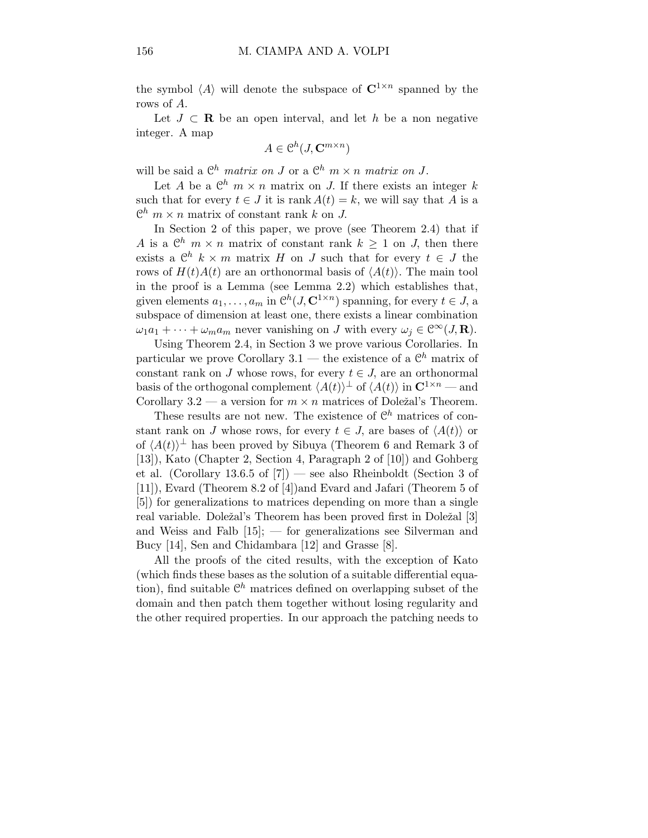the symbol  $\langle A \rangle$  will denote the subspace of  $\mathbb{C}^{1 \times n}$  spanned by the rows of A.

Let  $J \subset \mathbf{R}$  be an open interval, and let h be a non negative integer. A map

$$
A \in \mathcal{C}^h(J, \mathbf{C}^{m \times n})
$$

will be said a  $\mathbb{C}^h$  matrix on J or a  $\mathbb{C}^h$  m  $\times$  n matrix on J.

Let A be a  $\mathbb{C}^h$   $m \times n$  matrix on J. If there exists an integer k such that for every  $t \in J$  it is rank  $A(t) = k$ , we will say that A is a  $\mathbb{C}^h$   $m \times n$  matrix of constant rank k on J.

In Section 2 of this paper, we prove (see Theorem 2.4) that if A is a  $\mathbb{C}^h$   $m \times n$  matrix of constant rank  $k \geq 1$  on J, then there exists a  $\mathcal{C}^h$   $k \times m$  matrix H on J such that for every  $t \in J$  the rows of  $H(t)A(t)$  are an orthonormal basis of  $\langle A(t)\rangle$ . The main tool in the proof is a Lemma (see Lemma 2.2) which establishes that, given elements  $a_1, \ldots, a_m$  in  $\mathcal{C}^h(J, \mathbf{C}^{1 \times n})$  spanning, for every  $t \in J$ , a subspace of dimension at least one, there exists a linear combination  $\omega_1 a_1 + \cdots + \omega_m a_m$  never vanishing on J with every  $\omega_j \in \mathcal{C}^{\infty}(J, \mathbf{R})$ .

Using Theorem 2.4, in Section 3 we prove various Corollaries. In particular we prove Corollary  $3.1$  — the existence of a  $\mathbb{C}^h$  matrix of constant rank on J whose rows, for every  $t \in J$ , are an orthonormal basis of the orthogonal complement  $\langle A(t)\rangle^{\perp}$  of  $\langle A(t)\rangle$  in  $\mathbb{C}^{1\times n}$  — and Corollary 3.2 — a version for  $m \times n$  matrices of Doležal's Theorem.

These results are not new. The existence of  $\mathcal{C}^h$  matrices of constant rank on J whose rows, for every  $t \in J$ , are bases of  $\langle A(t) \rangle$  or of  $\langle A(t) \rangle^{\perp}$  has been proved by Sibuya (Theorem 6 and Remark 3 of [13]), Kato (Chapter 2, Section 4, Paragraph 2 of [10]) and Gohberg et al. (Corollary 13.6.5 of [7]) — see also Rheinboldt (Section 3 of [11]), Evard (Theorem 8.2 of [4])and Evard and Jafari (Theorem 5 of [5]) for generalizations to matrices depending on more than a single real variable. Doležal's Theorem has been proved first in Doležal [3] and Weiss and Falb [15]; — for generalizations see Silverman and Bucy [14], Sen and Chidambara [12] and Grasse [8].

All the proofs of the cited results, with the exception of Kato (which finds these bases as the solution of a suitable differential equation), find suitable  $\mathbb{C}^h$  matrices defined on overlapping subset of the domain and then patch them together without losing regularity and the other required properties. In our approach the patching needs to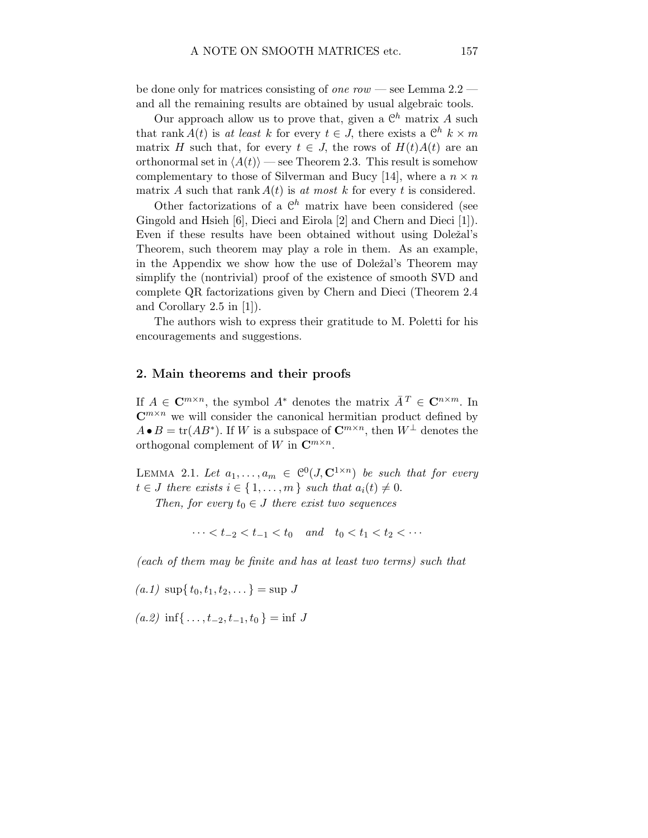be done only for matrices consisting of one row — see Lemma  $2.2$  and all the remaining results are obtained by usual algebraic tools.

Our approach allow us to prove that, given a  $\mathcal{C}^h$  matrix A such that rank  $A(t)$  is at least k for every  $t \in J$ , there exists a  $\mathbb{C}^h$   $k \times m$ matrix H such that, for every  $t \in J$ , the rows of  $H(t)A(t)$  are an orthonormal set in  $\langle A(t)\rangle$  — see Theorem 2.3. This result is somehow complementary to those of Silverman and Bucy [14], where a  $n \times n$ matrix A such that rank  $A(t)$  is at most k for every t is considered.

Other factorizations of a  $\mathbb{C}^h$  matrix have been considered (see Gingold and Hsieh [6], Dieci and Eirola [2] and Chern and Dieci [1]). Even if these results have been obtained without using Doležal's Theorem, such theorem may play a role in them. As an example, in the Appendix we show how the use of Doležal's Theorem may simplify the (nontrivial) proof of the existence of smooth SVD and complete QR factorizations given by Chern and Dieci (Theorem 2.4 and Corollary 2.5 in [1]).

The authors wish to express their gratitude to M. Poletti for his encouragements and suggestions.

#### 2. Main theorems and their proofs

If  $A \in \mathbb{C}^{m \times n}$ , the symbol  $A^*$  denotes the matrix  $\bar{A}^T \in \mathbb{C}^{n \times m}$ . In  $\mathbb{C}^{m \times n}$  we will consider the canonical hermitian product defined by  $A \bullet B = \text{tr}(AB^*)$ . If W is a subspace of  $\mathbb{C}^{m \times n}$ , then  $W^{\perp}$  denotes the orthogonal complement of W in  $\mathbb{C}^{m \times n}$ .

LEMMA 2.1. Let  $a_1, \ldots, a_m \in \mathcal{C}^0(J, \mathbf{C}^{1 \times n})$  be such that for every  $t \in J$  there exists  $i \in \{1, \ldots, m\}$  such that  $a_i(t) \neq 0$ .

Then, for every  $t_0 \in J$  there exist two sequences

 $\cdots < t_{-2} < t_{-1} < t_0$  and  $t_0 < t_1 < t_2 < \cdots$ 

(each of them may be finite and has at least two terms) such that

 $(a.1) \sup\{t_0, t_1, t_2, \dots\} = \sup J$ 

 $(a.2)$  inf{ ...,  $t_{-2}, t_{-1}, t_0$ } = inf J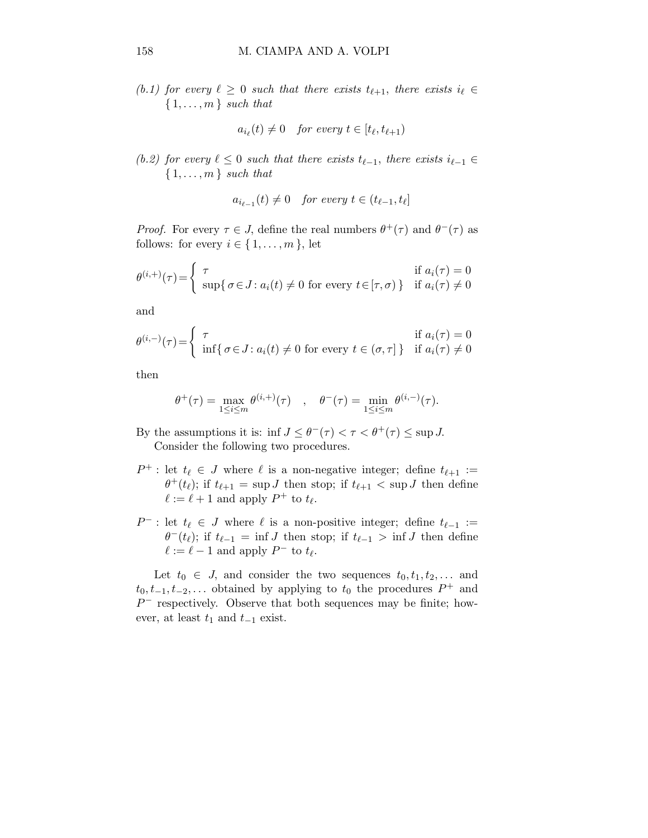(b.1) for every  $\ell \geq 0$  such that there exists  $t_{\ell+1}$ , there exists  $i_{\ell} \in$  $\{1,\ldots,m\}$  such that

$$
a_{i_{\ell}}(t) \neq 0 \quad \text{for every } t \in [t_{\ell}, t_{\ell+1})
$$

(b.2) for every  $\ell \leq 0$  such that there exists  $t_{\ell-1}$ , there exists  $i_{\ell-1} \in$  $\{1, \ldots, m\}$  such that

$$
a_{i_{\ell-1}}(t) \neq 0 \quad \text{for every } t \in (t_{\ell-1}, t_{\ell}]
$$

*Proof.* For every  $\tau \in J$ , define the real numbers  $\theta^+(\tau)$  and  $\theta^-(\tau)$  as follows: for every  $i \in \{1, \ldots, m\}$ , let

$$
\theta^{(i, +)}(\tau) = \begin{cases} \tau & \text{if } a_i(\tau) = 0\\ \sup\{\sigma \in J : a_i(t) \neq 0 \text{ for every } t \in [\tau, \sigma)\} & \text{if } a_i(\tau) \neq 0 \end{cases}
$$

and

$$
\theta^{(i,-)}(\tau) = \begin{cases} \tau & \text{if } a_i(\tau) = 0\\ \inf\{\sigma \in J : a_i(t) \neq 0 \text{ for every } t \in (\sigma, \tau] \} & \text{if } a_i(\tau) \neq 0 \end{cases}
$$

then

$$
\theta^+(\tau) = \max_{1 \leq i \leq m} \theta^{(i, +)}(\tau) \quad , \quad \theta^-(\tau) = \min_{1 \leq i \leq m} \theta^{(i, -)}(\tau).
$$

By the assumptions it is: inf  $J \leq \theta^{-}(\tau) < \tau < \theta^{+}(\tau) \leq \sup J$ . Consider the following two procedures.

- $P^+$ : let  $t_\ell \in J$  where  $\ell$  is a non-negative integer; define  $t_{\ell+1}$  :=  $\theta^+(t_\ell)$ ; if  $t_{\ell+1} = \sup J$  then stop; if  $t_{\ell+1} < \sup J$  then define  $\ell := \ell + 1$  and apply  $P^+$  to  $t_{\ell}$ .
- $P^-$ : let  $t_\ell \in J$  where  $\ell$  is a non-positive integer; define  $t_{\ell-1}$  :=  $\theta^{-}(t_{\ell})$ ; if  $t_{\ell-1} = \inf J$  then stop; if  $t_{\ell-1} > \inf J$  then define  $\ell := \ell - 1$  and apply  $P^-$  to  $t_{\ell}$ .

Let  $t_0 \in J$ , and consider the two sequences  $t_0, t_1, t_2, \ldots$  and  $t_0, t_{-1}, t_{-2},...$  obtained by applying to  $t_0$  the procedures  $P^+$  and  $P^-$  respectively. Observe that both sequences may be finite; however, at least  $t_1$  and  $t_{-1}$  exist.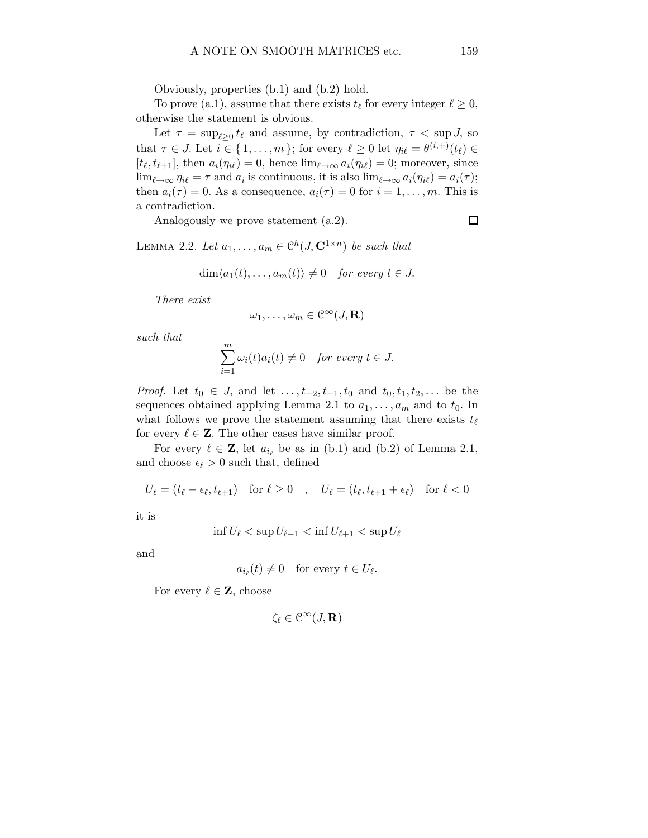Obviously, properties (b.1) and (b.2) hold.

To prove (a.1), assume that there exists  $t_{\ell}$  for every integer  $\ell \geq 0$ , otherwise the statement is obvious.

Let  $\tau = \sup_{\ell \geq 0} t_{\ell}$  and assume, by contradiction,  $\tau < \sup J$ , so that  $\tau \in J$ . Let  $i \in \{1, \ldots, m\}$ ; for every  $\ell \geq 0$  let  $\eta_{i\ell} = \theta^{(i, +)}(t_{\ell}) \in$  $[t_{\ell}, t_{\ell+1}]$ , then  $a_i(\eta_{i\ell}) = 0$ , hence  $\lim_{\ell \to \infty} a_i(\eta_{i\ell}) = 0$ ; moreover, since  $\lim_{\ell \to \infty} \eta_{i\ell} = \tau$  and  $a_i$  is continuous, it is also  $\lim_{\ell \to \infty} a_i(\eta_{i\ell}) = a_i(\tau);$ then  $a_i(\tau) = 0$ . As a consequence,  $a_i(\tau) = 0$  for  $i = 1, \ldots, m$ . This is a contradiction.

Analogously we prove statement (a.2).

 $\Box$ 

LEMMA 2.2. Let  $a_1, \ldots, a_m \in \mathcal{C}^h(J, \mathbf{C}^{1 \times n})$  be such that

$$
\dim \langle a_1(t), \ldots, a_m(t) \rangle \neq 0 \quad \text{for every } t \in J.
$$

There exist

$$
\omega_1,\ldots,\omega_m\in\mathcal{C}^\infty(J,\mathbf{R})
$$

such that

$$
\sum_{i=1}^{m} \omega_i(t) a_i(t) \neq 0 \quad \text{for every } t \in J.
$$

*Proof.* Let  $t_0 \in J$ , and let  $\dots, t_{-2}, t_{-1}, t_0$  and  $t_0, t_1, t_2, \dots$  be the sequences obtained applying Lemma 2.1 to  $a_1, \ldots, a_m$  and to  $t_0$ . In what follows we prove the statement assuming that there exists  $t_{\ell}$ for every  $\ell \in \mathbb{Z}$ . The other cases have similar proof.

For every  $\ell \in \mathbf{Z}$ , let  $a_{i_{\ell}}$  be as in (b.1) and (b.2) of Lemma 2.1, and choose  $\epsilon_{\ell} > 0$  such that, defined

$$
U_{\ell} = (t_{\ell} - \epsilon_{\ell}, t_{\ell+1}) \quad \text{for } \ell \ge 0 \quad , \quad U_{\ell} = (t_{\ell}, t_{\ell+1} + \epsilon_{\ell}) \quad \text{for } \ell < 0
$$

it is

$$
\inf U_{\ell} < \sup U_{\ell-1} < \inf U_{\ell+1} < \sup U_{\ell}
$$

and

$$
a_{i_{\ell}}(t) \neq 0 \quad \text{for every } t \in U_{\ell}.
$$

For every  $\ell \in \mathbf{Z}$ , choose

$$
\zeta_\ell\in\mathcal{C}^\infty(J,\mathbf{R})
$$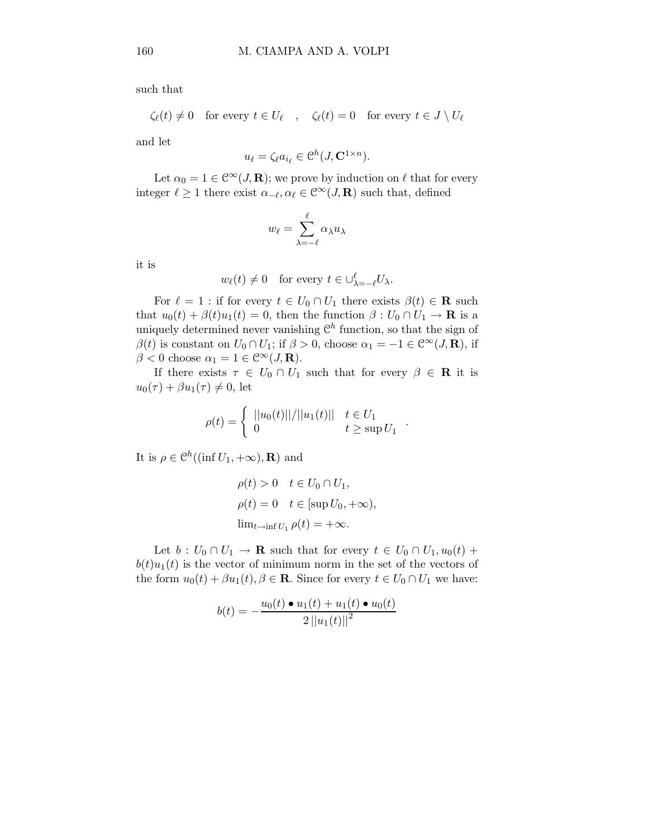such that

$$
\zeta_{\ell}(t) \neq 0
$$
 for every  $t \in U_{\ell}$ ,  $\zeta_{\ell}(t) = 0$  for every  $t \in J \setminus U_{\ell}$ 

and let

$$
u_{\ell} = \zeta_{\ell} a_{i_{\ell}} \in \mathcal{C}^{h}(J, \mathbf{C}^{1 \times n}).
$$

Let  $\alpha_0 = 1 \in \mathbb{C}^\infty(J, \mathbf{R})$ ; we prove by induction on  $\ell$  that for every integer  $\ell \geq 1$  there exist  $\alpha_{-\ell}, \alpha_{\ell} \in \mathcal{C}^{\infty}(J, \mathbf{R})$  such that, defined

$$
w_{\ell} = \sum_{\lambda = -\ell}^{\ell} \alpha_{\lambda} u_{\lambda}
$$

it is

$$
w_{\ell}(t) \neq 0
$$
 for every  $t \in \bigcup_{\lambda=-\ell}^{\ell} U_{\lambda}$ .

For  $\ell = 1$ : if for every  $t \in U_0 \cap U_1$  there exists  $\beta(t) \in \mathbf{R}$  such that  $u_0(t) + \beta(t)u_1(t) = 0$ , then the function  $\beta: U_0 \cap U_1 \to \mathbf{R}$  is a uniquely determined never vanishing  $\mathcal{C}^h$  function, so that the sign of  $\beta(t)$  is constant on  $U_0 \cap U_1$ ; if  $\beta > 0$ , choose  $\alpha_1 = -1 \in \mathbb{C}^\infty(J, \mathbf{R})$ , if  $\beta < 0$  choose  $\alpha_1 = 1 \in \mathbb{C}^\infty(J, \mathbf{R}).$ 

If there exists  $\tau \in U_0 \cap U_1$  such that for every  $\beta \in \mathbf{R}$  it is  $u_0(\tau) + \beta u_1(\tau) \neq 0$ , let

$$
\rho(t) = \begin{cases} ||u_0(t)||/||u_1(t)|| & t \in U_1 \\ 0 & t \ge \sup U_1 \end{cases}
$$

.

It is  $\rho \in \mathcal{C}^h((\inf U_1, +\infty), \mathbf{R})$  and

$$
\rho(t) > 0 \quad t \in U_0 \cap U_1,
$$
  
\n
$$
\rho(t) = 0 \quad t \in [\sup U_0, +\infty),
$$
  
\n
$$
\lim_{t \to \inf U_1} \rho(t) = +\infty.
$$

Let  $b: U_0 \cap U_1 \to \mathbf{R}$  such that for every  $t \in U_0 \cap U_1, u_0(t)$  +  $b(t)u_1(t)$  is the vector of minimum norm in the set of the vectors of the form  $u_0(t) + \beta u_1(t), \beta \in \mathbf{R}$ . Since for every  $t \in U_0 \cap U_1$  we have:

$$
b(t) = -\frac{u_0(t) \bullet u_1(t) + u_1(t) \bullet u_0(t)}{2 ||u_1(t)||^2}
$$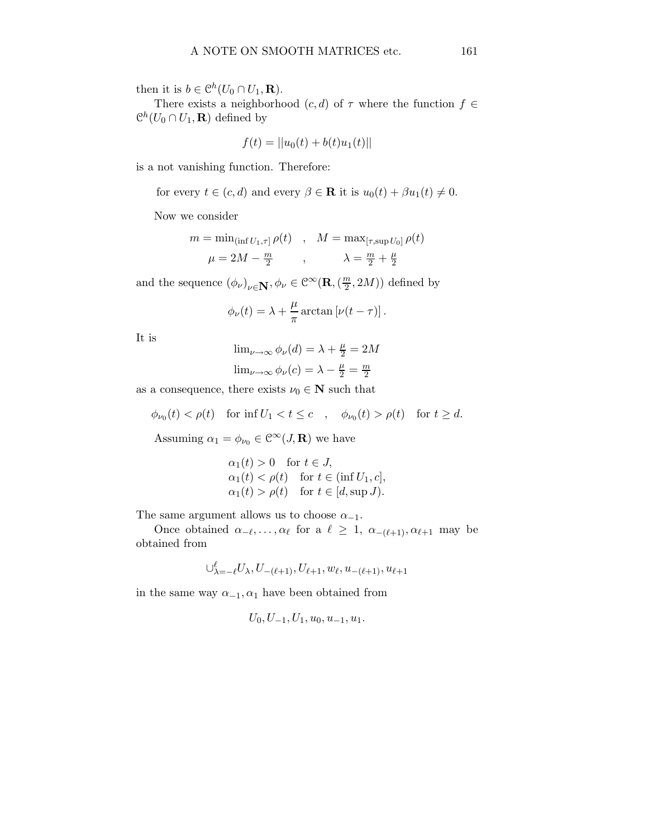then it is  $b \in \mathcal{C}^h(U_0 \cap U_1, \mathbf{R})$ .

There exists a neighborhood  $(c, d)$  of  $\tau$  where the function  $f \in$  $\mathcal{C}^h(U_0 \cap U_1, \mathbf{R})$  defined by

$$
f(t) = ||u_0(t) + b(t)u_1(t)||
$$

is a not vanishing function. Therefore:

for every 
$$
t \in (c, d)
$$
 and every  $\beta \in \mathbf{R}$  it is  $u_0(t) + \beta u_1(t) \neq 0$ .

Now we consider

$$
m = \min_{(\inf U_1, \tau]} \rho(t) \quad , \quad M = \max_{[\tau, \sup U_0]} \rho(t)
$$

$$
\mu = 2M - \frac{m}{2} \quad , \qquad \lambda = \frac{m}{2} + \frac{\mu}{2}
$$

and the sequence  $(\phi_{\nu})_{\nu \in \mathbf{N}}, \phi_{\nu} \in \mathcal{C}^{\infty}(\mathbf{R}, (\frac{m}{2}))$  $(\frac{m}{2}, 2M))$  defined by

$$
\phi_{\nu}(t) = \lambda + \frac{\mu}{\pi} \arctan \left[\nu(t-\tau)\right].
$$

It is

$$
\lim_{\nu \to \infty} \phi_{\nu}(d) = \lambda + \frac{\mu}{2} = 2M
$$

$$
\lim_{\nu \to \infty} \phi_{\nu}(c) = \lambda - \frac{\mu}{2} = \frac{m}{2}
$$

as a consequence, there exists  $\nu_0 \in \mathbb{N}$  such that

$$
\phi_{\nu_0}(t) < \rho(t) \quad \text{for inf } U_1 < t \leq c \quad , \quad \phi_{\nu_0}(t) > \rho(t) \quad \text{for } t \geq d.
$$

Assuming  $\alpha_1 = \phi_{\nu_0} \in \mathcal{C}^{\infty}(J, \mathbf{R})$  we have

$$
\alpha_1(t) > 0 \quad \text{for } t \in J,
$$
  
\n
$$
\alpha_1(t) < \rho(t) \quad \text{for } t \in (\inf U_1, c],
$$
  
\n
$$
\alpha_1(t) > \rho(t) \quad \text{for } t \in [d, \sup J).
$$

The same argument allows us to choose  $\alpha_{-1}$ .

Once obtained  $\alpha_{-\ell}, \ldots, \alpha_{\ell}$  for a  $\ell \geq 1$ ,  $\alpha_{-(\ell+1)}, \alpha_{\ell+1}$  may be obtained from

$$
\cup_{\lambda = -\ell}^{\ell} U_{\lambda}, U_{-(\ell+1)}, U_{\ell+1}, w_{\ell}, u_{-(\ell+1)}, u_{\ell+1}
$$

in the same way  $\alpha_{-1}, \alpha_1$  have been obtained from

$$
U_0, U_{-1}, U_1, u_0, u_{-1}, u_1.
$$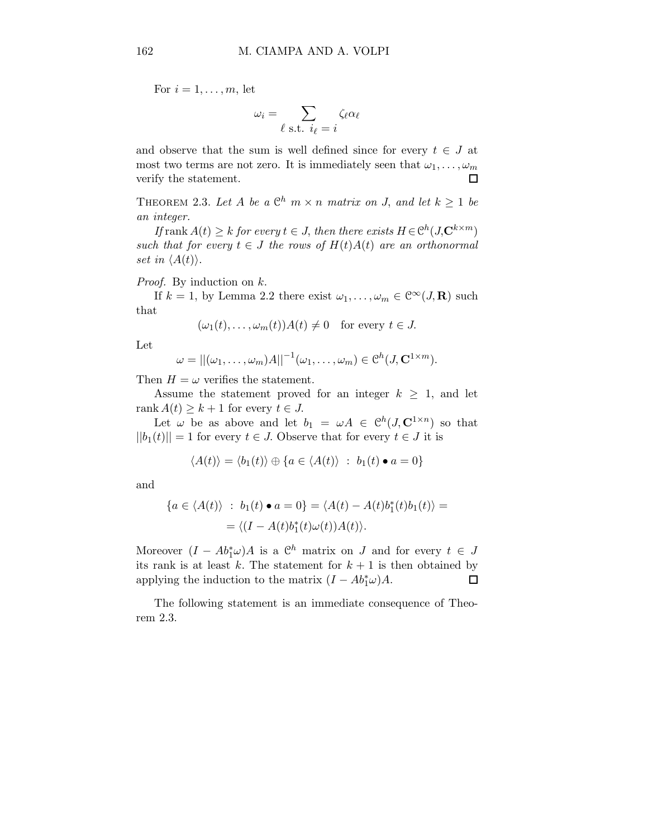For  $i = 1, \ldots, m$ , let

$$
\omega_i = \sum_{\ell \text{ s.t. } i_\ell = i} \zeta_\ell \alpha_\ell
$$

and observe that the sum is well defined since for every  $t \in J$  at most two terms are not zero. It is immediately seen that  $\omega_1, \ldots, \omega_m$ verify the statement. 口

THEOREM 2.3. Let A be a  $\mathbb{C}^h$   $m \times n$  matrix on J, and let  $k \geq 1$  be an integer.

If rank  $A(t) \geq k$  for every  $t \in J$ , then there exists  $H \in \mathcal{C}^h(J, \mathbb{C}^{k \times m})$ such that for every  $t \in J$  the rows of  $H(t)A(t)$  are an orthonormal set in  $\langle A(t) \rangle$ .

Proof. By induction on k.

If  $k = 1$ , by Lemma 2.2 there exist  $\omega_1, \ldots, \omega_m \in \mathcal{C}^{\infty}(J, \mathbf{R})$  such that

$$
(\omega_1(t), \ldots, \omega_m(t))A(t) \neq 0
$$
 for every  $t \in J$ .

Let

$$
\omega = ||(\omega_1, \dots, \omega_m)A||^{-1}(\omega_1, \dots, \omega_m) \in \mathcal{C}^h(J, \mathbf{C}^{1 \times m}).
$$

Then  $H = \omega$  verifies the statement.

Assume the statement proved for an integer  $k \geq 1$ , and let rank  $A(t) \geq k+1$  for every  $t \in J$ .

Let  $\omega$  be as above and let  $b_1 = \omega A \in \mathcal{C}^h(J, \mathbb{C}^{1 \times n})$  so that  $||b_1(t)|| = 1$  for every  $t \in J$ . Observe that for every  $t \in J$  it is

$$
\langle A(t) \rangle = \langle b_1(t) \rangle \oplus \{ a \in \langle A(t) \rangle : b_1(t) \bullet a = 0 \}
$$

and

$$
\{a \in \langle A(t) \rangle : b_1(t) \bullet a = 0\} = \langle A(t) - A(t)b_1^*(t)b_1(t) \rangle =
$$
  
= 
$$
\langle (I - A(t)b_1^*(t)\omega(t))A(t) \rangle.
$$

Moreover  $(I - Ab_1^*\omega)A$  is a  $\mathbb{C}^h$  matrix on J and for every  $t \in J$ its rank is at least k. The statement for  $k + 1$  is then obtained by applying the induction to the matrix  $(I - Ab_1^* \omega)A$ .  $\Box$ 

The following statement is an immediate consequence of Theorem 2.3.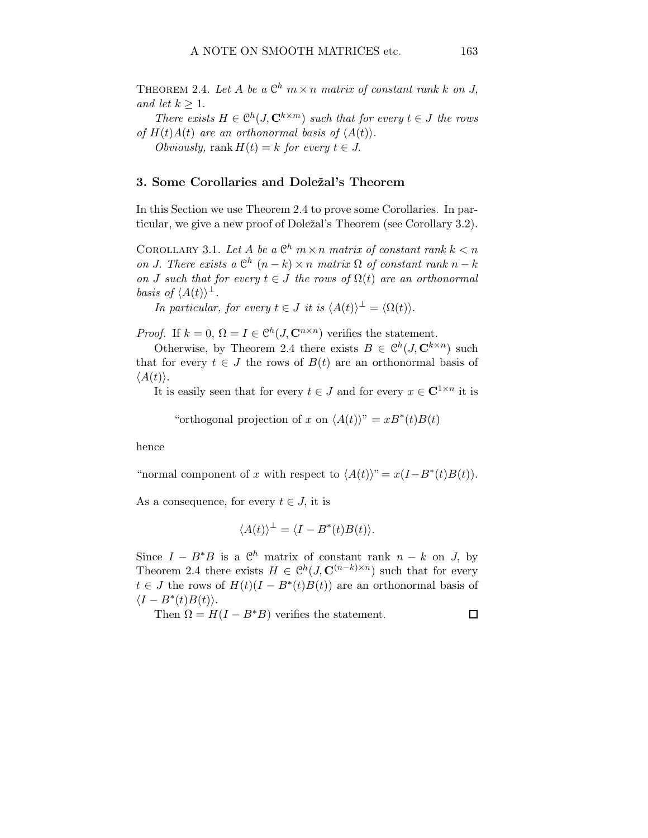THEOREM 2.4. Let A be a  $\mathbb{C}^h$   $m \times n$  matrix of constant rank k on J, and let  $k > 1$ .

There exists  $H \in \mathcal{C}^h(J, \mathbf{C}^{k \times m})$  such that for every  $t \in J$  the rows of  $H(t)A(t)$  are an orthonormal basis of  $\langle A(t) \rangle$ .

Obviously, rank  $H(t) = k$  for every  $t \in J$ .

### 3. Some Corollaries and Doležal's Theorem

In this Section we use Theorem 2.4 to prove some Corollaries. In particular, we give a new proof of Doležal's Theorem (see Corollary 3.2).

COROLLARY 3.1. Let A be a  $\mathbb{C}^h$   $m \times n$  matrix of constant rank  $k < n$ on J. There exists a  $\mathbb{C}^h$   $(n-k) \times n$  matrix  $\Omega$  of constant rank  $n-k$ on J such that for every  $t \in J$  the rows of  $\Omega(t)$  are an orthonormal basis of  $\langle A(t) \rangle^{\perp}$ .

In particular, for every  $t \in J$  it is  $\langle A(t) \rangle^{\perp} = \langle \Omega(t) \rangle$ .

*Proof.* If  $k = 0$ ,  $\Omega = I \in \mathcal{C}^h(J, \mathbb{C}^{n \times n})$  verifies the statement.

Otherwise, by Theorem 2.4 there exists  $B \in \mathcal{C}^h(J, \mathbf{C}^{k \times n})$  such that for every  $t \in J$  the rows of  $B(t)$  are an orthonormal basis of  $\langle A(t)\rangle.$ 

It is easily seen that for every  $t \in J$  and for every  $x \in \mathbb{C}^{1 \times n}$  it is

"orthogonal projection of x on  $\langle A(t) \rangle$ " =  $xB^*(t)B(t)$ 

hence

"normal component of x with respect to  $\langle A(t) \rangle$ " =  $x(I - B^*(t)B(t)).$ 

As a consequence, for every  $t \in J$ , it is

$$
\langle A(t) \rangle^{\perp} = \langle I - B^*(t)B(t) \rangle.
$$

Since  $I - B^*B$  is a  $\mathbb{C}^h$  matrix of constant rank  $n - k$  on J, by Theorem 2.4 there exists  $H \in \mathcal{C}^h(J, \mathbf{C}^{(n-k)\times n})$  such that for every  $t \in J$  the rows of  $H(t)(I - B^*(t)B(t))$  are an orthonormal basis of  $\langle I - B^*(t)B(t) \rangle$ .

Then  $\Omega = H(I - B^*B)$  verifies the statement.

 $\Box$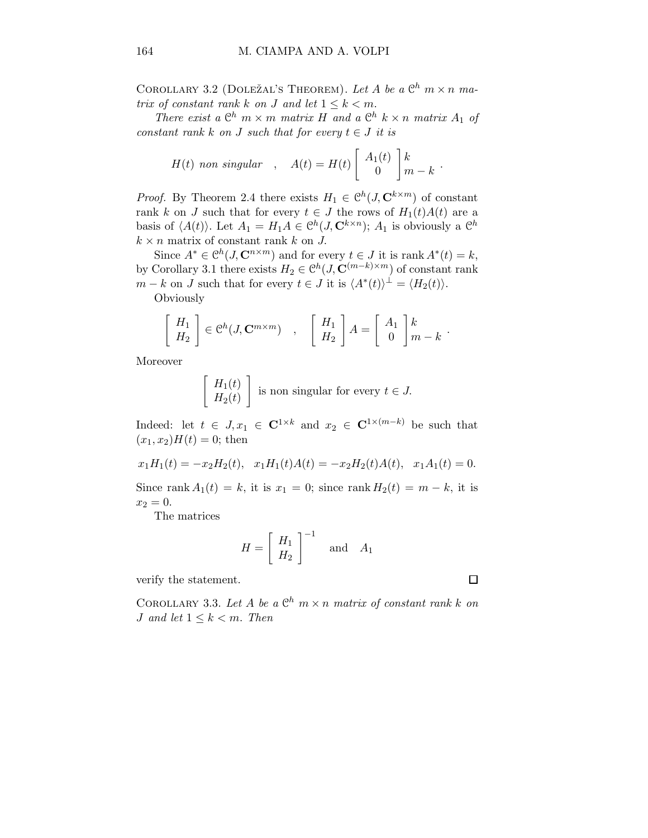COROLLARY 3.2 (DOLEŽAL'S THEOREM). Let A be a  $\mathbb{C}^h$   $m \times n$  matrix of constant rank k on J and let  $1 \leq k < m$ .

There exist a  $\mathbb{C}^h$   $m \times m$  matrix H and a  $\mathbb{C}^h$   $k \times n$  matrix  $A_1$  of constant rank k on J such that for every  $t \in J$  it is

$$
H(t) \text{ non singular }, A(t) = H(t) \left[ \begin{array}{c} A_1(t) \\ 0 \end{array} \right] \begin{array}{c} k \\ m - k \end{array}.
$$

*Proof.* By Theorem 2.4 there exists  $H_1 \in \mathcal{C}^h(J, \mathbb{C}^{k \times m})$  of constant rank k on J such that for every  $t \in J$  the rows of  $H_1(t)A(t)$  are a basis of  $\langle A(t) \rangle$ . Let  $A_1 = H_1 A \in \mathcal{C}^h(J, \mathbf{C}^{k \times n})$ ;  $A_1$  is obviously a  $\mathcal{C}^h$  $k \times n$  matrix of constant rank k on J.

Since  $A^* \in \mathcal{C}^h(J, \mathbf{C}^{n \times m})$  and for every  $t \in J$  it is rank  $A^*(t) = k$ , by Corollary 3.1 there exists  $H_2 \in \mathcal{C}^h(J, \mathbf{C}^{(m-k)\times m})$  of constant rank  $m - k$  on J such that for every  $t \in J$  it is  $\langle A^*(t) \rangle^{\perp} = \langle H_2(t) \rangle$ . **Obviously** 

$$
\left[\begin{array}{c} H_1 \\ H_2 \end{array}\right] \in \mathcal{C}^h(J, \mathbf{C}^{m \times m}) \quad , \quad \left[\begin{array}{c} H_1 \\ H_2 \end{array}\right] A = \left[\begin{array}{c} A_1 \\ 0 \end{array}\right] \begin{array}{c} k \\ m - k \end{array}.
$$

Moreover

$$
\begin{bmatrix} H_1(t) \\ H_2(t) \end{bmatrix}
$$
 is non singular for every  $t \in J$ .

Indeed: let  $t \in J$ ,  $x_1 \in \mathbb{C}^{1 \times k}$  and  $x_2 \in \mathbb{C}^{1 \times (m-k)}$  be such that  $(x_1, x_2)H(t) = 0$ ; then

$$
x_1H_1(t) = -x_2H_2(t)
$$
,  $x_1H_1(t)A(t) = -x_2H_2(t)A(t)$ ,  $x_1A_1(t) = 0$ .

Since rank  $A_1(t) = k$ , it is  $x_1 = 0$ ; since rank  $H_2(t) = m - k$ , it is  $x_2 = 0.$ 

The matrices

$$
H = \left[ \begin{array}{c} H_1 \\ H_2 \end{array} \right]^{-1} \quad \text{and} \quad A_1
$$

verify the statement.

COROLLARY 3.3. Let A be a  $\mathbb{C}^h$   $m \times n$  matrix of constant rank k on J and let  $1 \leq k \leq m$ . Then

$$
\qquad \qquad \Box
$$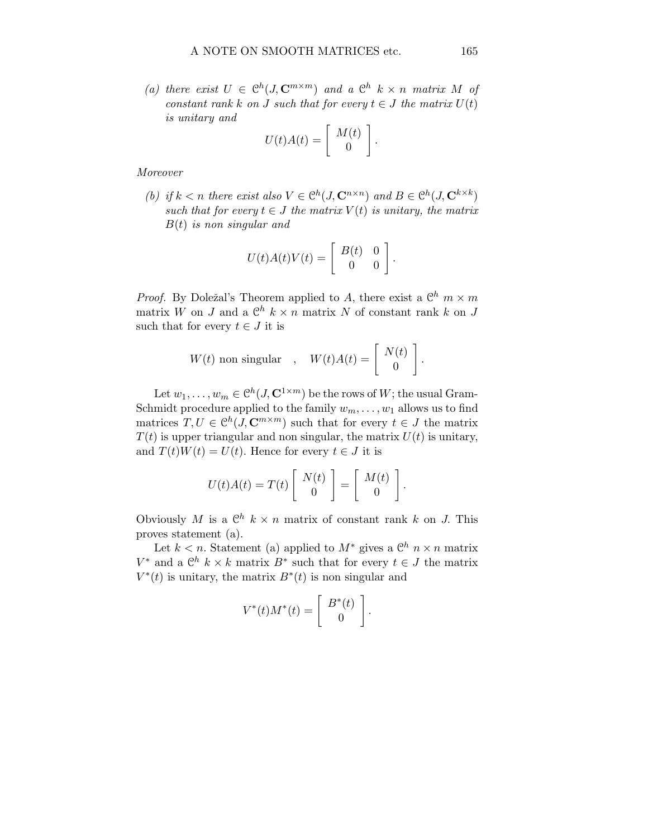(a) there exist  $U \in \mathcal{C}^h(J, \mathbb{C}^{m \times m})$  and a  $\mathcal{C}^h$  k x n matrix M of constant rank k on J such that for every  $t \in J$  the matrix  $U(t)$ is unitary and

$$
U(t)A(t) = \left[\begin{array}{c} M(t) \\ 0 \end{array}\right].
$$

Moreover

(b) if  $k < n$  there exist also  $V \in \mathcal{C}^h(J, \mathbb{C}^{n \times n})$  and  $B \in \mathcal{C}^h(J, \mathbb{C}^{k \times k})$ such that for every  $t \in J$  the matrix  $V(t)$  is unitary, the matrix  $B(t)$  is non singular and

$$
U(t)A(t)V(t) = \begin{bmatrix} B(t) & 0\\ 0 & 0 \end{bmatrix}
$$

.

*Proof.* By Doležal's Theorem applied to A, there exist a  $\mathbb{C}^h$   $m \times m$ matrix W on J and a  $\mathbb{C}^h$   $k \times n$  matrix N of constant rank k on J such that for every  $t \in J$  it is

$$
W(t) \text{ non singular }, \quad W(t)A(t) = \left[ \begin{array}{c} N(t) \\ 0 \end{array} \right].
$$

Let  $w_1, \ldots, w_m \in \mathcal{C}^h(J, \mathbf{C}^{1 \times m})$  be the rows of  $W$ ; the usual Gram-Schmidt procedure applied to the family  $w_m, \ldots, w_1$  allows us to find matrices  $T, U \in \mathcal{C}^h(J, \mathbb{C}^{m \times m})$  such that for every  $t \in J$  the matrix  $T(t)$  is upper triangular and non singular, the matrix  $U(t)$  is unitary, and  $T(t)W(t) = U(t)$ . Hence for every  $t \in J$  it is

$$
U(t)A(t) = T(t) \left[ \begin{array}{c} N(t) \\ 0 \end{array} \right] = \left[ \begin{array}{c} M(t) \\ 0 \end{array} \right].
$$

Obviously M is a  $\mathbb{C}^h$   $k \times n$  matrix of constant rank k on J. This proves statement (a).

Let  $k < n$ . Statement (a) applied to  $M^*$  gives a  $\mathbb{C}^h$   $n \times n$  matrix  $V^*$  and a  $\mathbb{C}^h$  k × k matrix  $B^*$  such that for every  $t \in J$  the matrix  $V^*(t)$  is unitary, the matrix  $B^*(t)$  is non singular and

$$
V^*(t)M^*(t) = \left[\begin{array}{c} B^*(t) \\ 0 \end{array}\right].
$$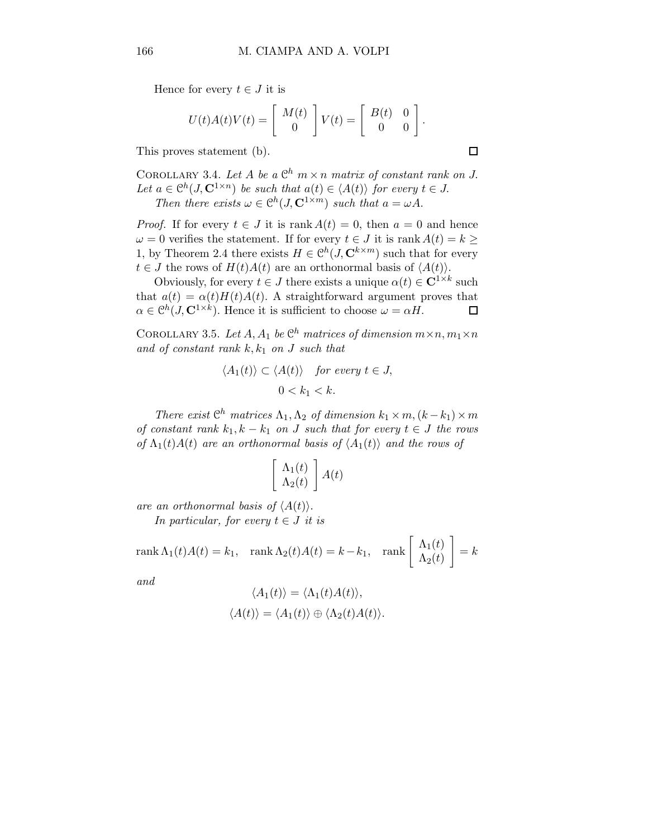Hence for every  $t \in J$  it is

$$
U(t)A(t)V(t) = \begin{bmatrix} M(t) \\ 0 \end{bmatrix} V(t) = \begin{bmatrix} B(t) & 0 \\ 0 & 0 \end{bmatrix}.
$$

This proves statement (b).

COROLLARY 3.4. Let A be a  $\mathbb{C}^h$   $m \times n$  matrix of constant rank on J. Let  $a \in \mathcal{C}^h(\mathcal{J}, \mathbf{C}^{1 \times n})$  be such that  $a(t) \in \langle A(t) \rangle$  for every  $t \in \mathcal{J}$ . Then there exists  $\omega \in \mathcal{C}^h(J, \mathbf{C}^{1 \times m})$  such that  $a = \omega A$ .

*Proof.* If for every  $t \in J$  it is rank  $A(t) = 0$ , then  $a = 0$  and hence  $\omega = 0$  verifies the statement. If for every  $t \in J$  it is rank  $A(t) = k \geq$ 1, by Theorem 2.4 there exists  $H \in \mathcal{C}^h(J, \mathbf{C}^{k \times m})$  such that for every  $t \in J$  the rows of  $H(t)A(t)$  are an orthonormal basis of  $\langle A(t) \rangle$ .

Obviously, for every  $t \in J$  there exists a unique  $\alpha(t) \in \mathbb{C}^{1 \times k}$  such that  $a(t) = \alpha(t)H(t)A(t)$ . A straightforward argument proves that  $\alpha \in \mathcal{C}^h(J, \mathbf{C}^{1 \times k})$ . Hence it is sufficient to choose  $\omega = \alpha H$ .  $\Box$ 

COROLLARY 3.5. Let  $A, A_1$  be  $\mathbb{C}^h$  matrices of dimension  $m \times n$ ,  $m_1 \times n$ and of constant rank  $k, k_1$  on J such that

$$
\langle A_1(t) \rangle \subset \langle A(t) \rangle \quad \text{for every } t \in J,
$$
  

$$
0 < k_1 < k.
$$

There exist  $\mathbb{C}^h$  matrices  $\Lambda_1, \Lambda_2$  of dimension  $k_1 \times m, (k - k_1) \times m$ of constant rank  $k_1, k - k_1$  on J such that for every  $t \in J$  the rows of  $\Lambda_1(t)A(t)$  are an orthonormal basis of  $\langle A_1(t) \rangle$  and the rows of

$$
\left[\begin{array}{c}\Lambda_1(t)\\ \Lambda_2(t)\end{array}\right]A(t)
$$

are an orthonormal basis of  $\langle A(t) \rangle$ .

In particular, for every  $t \in J$  it is

$$
\operatorname{rank}\Lambda_1(t)A(t) = k_1, \quad \operatorname{rank}\Lambda_2(t)A(t) = k - k_1, \quad \operatorname{rank}\left[\begin{array}{c} \Lambda_1(t) \\ \Lambda_2(t) \end{array}\right] = k
$$

and

$$
\langle A_1(t) \rangle = \langle \Lambda_1(t) A(t) \rangle,
$$
  

$$
\langle A(t) \rangle = \langle A_1(t) \rangle \oplus \langle \Lambda_2(t) A(t) \rangle.
$$

 $\Box$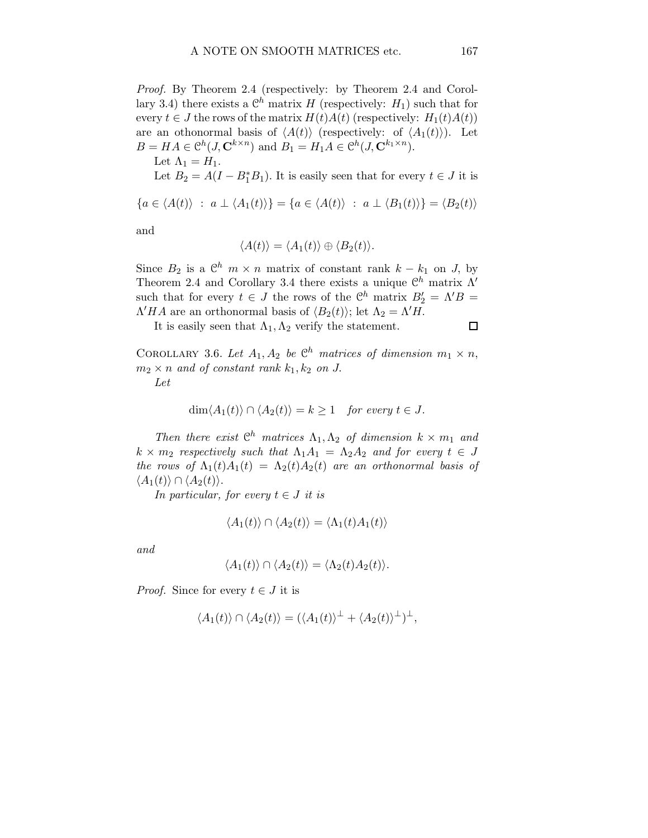Proof. By Theorem 2.4 (respectively: by Theorem 2.4 and Corollary 3.4) there exists a  $\mathcal{C}^h$  matrix H (respectively:  $H_1$ ) such that for every  $t \in J$  the rows of the matrix  $H(t)A(t)$  (respectively:  $H_1(t)A(t)$ ) are an othonormal basis of  $\langle A(t) \rangle$  (respectively: of  $\langle A_1(t) \rangle$ ). Let  $B = HA \in \mathcal{C}^h(J, \mathbf{C}^{k \times n})$  and  $B_1 = H_1A \in \mathcal{C}^h(J, \mathbf{C}^{k_1 \times n})$ .

Let  $\Lambda_1 = H_1$ .

Let  $B_2 = A(I - B_1^*B_1)$ . It is easily seen that for every  $t \in J$  it is

$$
\{a \in \langle A(t) \rangle : a \perp \langle A_1(t) \rangle\} = \{a \in \langle A(t) \rangle : a \perp \langle B_1(t) \rangle\} = \langle B_2(t) \rangle
$$

and

$$
\langle A(t) \rangle = \langle A_1(t) \rangle \oplus \langle B_2(t) \rangle.
$$

Since  $B_2$  is a  $\mathbb{C}^h$   $m \times n$  matrix of constant rank  $k - k_1$  on J, by Theorem 2.4 and Corollary 3.4 there exists a unique  $\mathbb{C}^h$  matrix  $\Lambda'$ such that for every  $t \in J$  the rows of the  $\mathcal{C}^h$  matrix  $B'_2 = \Lambda' B =$  $\Lambda' H A$  are an orthonormal basis of  $\langle B_2(t) \rangle$ ; let  $\Lambda_2 = \Lambda' H$ .

It is easily seen that  $\Lambda_1, \Lambda_2$  verify the statement.

COROLLARY 3.6. Let  $A_1, A_2$  be  $\mathbb{C}^h$  matrices of dimension  $m_1 \times n$ ,  $m_2 \times n$  and of constant rank  $k_1, k_2$  on J. Let

$$
\dim \langle A_1(t) \rangle \cap \langle A_2(t) \rangle = k \ge 1 \quad \text{for every } t \in J.
$$

Then there exist  $\mathbb{C}^h$  matrices  $\Lambda_1, \Lambda_2$  of dimension  $k \times m_1$  and  $k \times m_2$  respectively such that  $\Lambda_1 A_1 = \Lambda_2 A_2$  and for every  $t \in J$ the rows of  $\Lambda_1(t)A_1(t) = \Lambda_2(t)A_2(t)$  are an orthonormal basis of  $\langle A_1(t)\rangle \cap \langle A_2(t)\rangle.$ 

In particular, for every  $t \in J$  it is

$$
\langle A_1(t) \rangle \cap \langle A_2(t) \rangle = \langle \Lambda_1(t) A_1(t) \rangle
$$

and

$$
\langle A_1(t)\rangle \cap \langle A_2(t)\rangle = \langle \Lambda_2(t)A_2(t)\rangle.
$$

*Proof.* Since for every  $t \in J$  it is

$$
\langle A_1(t) \rangle \cap \langle A_2(t) \rangle = (\langle A_1(t) \rangle^{\perp} + \langle A_2(t) \rangle^{\perp})^{\perp},
$$

 $\Box$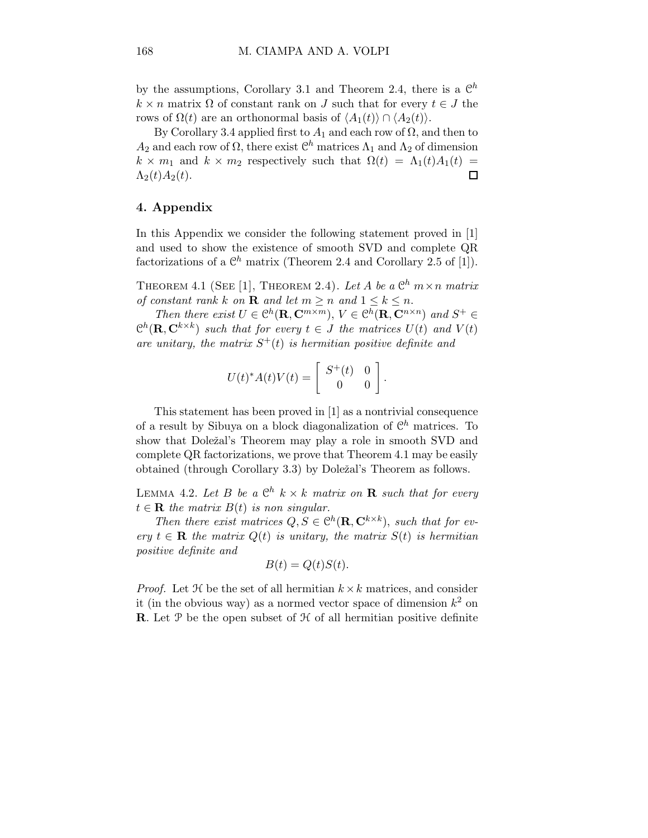by the assumptions, Corollary 3.1 and Theorem 2.4, there is a  $\mathbb{C}^h$  $k \times n$  matrix  $\Omega$  of constant rank on J such that for every  $t \in J$  the rows of  $\Omega(t)$  are an orthonormal basis of  $\langle A_1(t) \rangle \cap \langle A_2(t) \rangle$ .

By Corollary 3.4 applied first to  $A_1$  and each row of  $\Omega$ , and then to  $A_2$  and each row of  $\Omega$ , there exist  $\mathcal{C}^h$  matrices  $\Lambda_1$  and  $\Lambda_2$  of dimension  $k \times m_1$  and  $k \times m_2$  respectively such that  $\Omega(t) = \Lambda_1(t)A_1(t) = \Lambda_2(t)A_2(t)$ .  $\Lambda_2(t)A_2(t)$ .

## 4. Appendix

In this Appendix we consider the following statement proved in [1] and used to show the existence of smooth SVD and complete QR factorizations of a  $\mathbb{C}^h$  matrix (Theorem 2.4 and Corollary 2.5 of [1]).

THEOREM 4.1 (SEE [1], THEOREM 2.4). Let A be a  $\mathbb{C}^h$   $m \times n$  matrix of constant rank k on **R** and let  $m > n$  and  $1 \leq k \leq n$ .

Then there exist  $U \in \mathcal{C}^h(\mathbf{R}, \mathbf{C}^{m \times m})$ ,  $V \in \mathcal{C}^h(\mathbf{R}, \mathbf{C}^{n \times n})$  and  $S^+ \in$  $\mathbb{C}^h(\mathbf{R},\mathbf{C}^{k\times k})$  such that for every  $t \in J$  the matrices  $U(t)$  and  $V(t)$ are unitary, the matrix  $S^+(t)$  is hermitian positive definite and

$$
U(t)^* A(t) V(t) = \begin{bmatrix} S^+(t) & 0 \\ 0 & 0 \end{bmatrix}.
$$

This statement has been proved in [1] as a nontrivial consequence of a result by Sibuya on a block diagonalization of  $\mathbb{C}^h$  matrices. To show that Doležal's Theorem may play a role in smooth SVD and complete QR factorizations, we prove that Theorem 4.1 may be easily obtained (through Corollary 3.3) by Doležal's Theorem as follows.

LEMMA 4.2. Let B be a  $\mathbb{C}^h$   $k \times k$  matrix on **R** such that for every  $t \in \mathbf{R}$  the matrix  $B(t)$  is non singular.

Then there exist matrices  $Q, S \in \mathcal{C}^h(\mathbf{R}, \mathbf{C}^{k \times k})$ , such that for every  $t \in \mathbf{R}$  the matrix  $Q(t)$  is unitary, the matrix  $S(t)$  is hermitian positive definite and

$$
B(t) = Q(t)S(t).
$$

*Proof.* Let  $H$  be the set of all hermitian  $k \times k$  matrices, and consider it (in the obvious way) as a normed vector space of dimension  $k^2$  on **R**. Let  $\mathcal{P}$  be the open subset of  $\mathcal{H}$  of all hermitian positive definite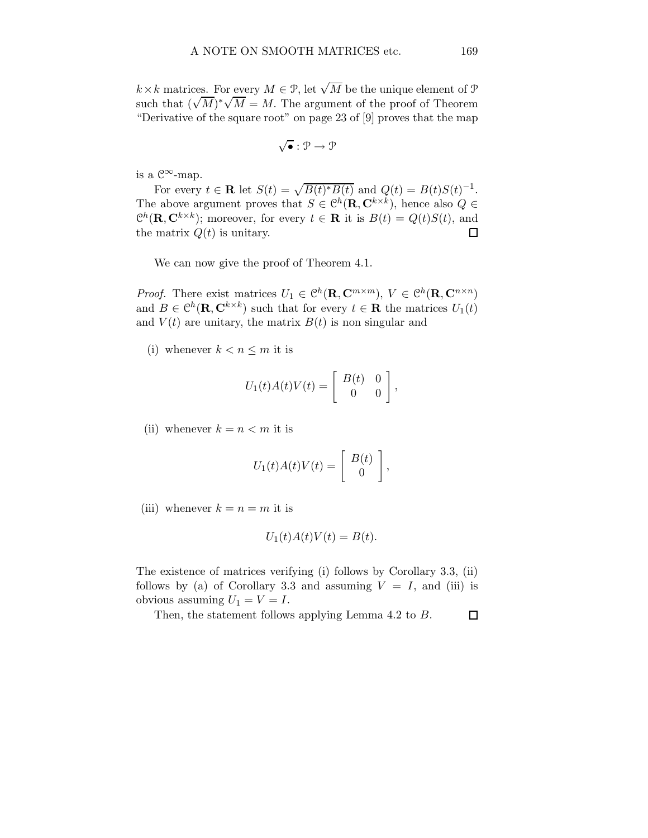$k \times k$  matrices. For every  $M \in \mathcal{P}$ , let  $\sqrt{M}$  be the unique element of  $\mathcal{P}$ such that  $(\sqrt{M})^*\sqrt{M} = M$ . The argument of the proof of Theorem "Derivative of the square root" on page 23 of [9] proves that the map

$$
\sqrt{\bullet} : \mathcal{P} \to \mathcal{P}
$$

is a  $\mathcal{C}^{\infty}$ -map.

For every  $t \in \mathbf{R}$  let  $S(t) = \sqrt{B(t)^*B(t)}$  and  $Q(t) = B(t)S(t)^{-1}$ . The above argument proves that  $S \in \mathcal{C}^h(\mathbf{R}, \mathbf{C}^{k \times k})$ , hence also  $Q \in$  $\mathcal{C}^h(\mathbf{R},\mathbf{C}^{k\times k})$ ; moreover, for every  $t \in \mathbf{R}$  it is  $B(t) = Q(t)S(t)$ , and the matrix  $Q(t)$  is unitary.

We can now give the proof of Theorem 4.1.

*Proof.* There exist matrices  $U_1 \in \mathcal{C}^h(\mathbf{R}, \mathbf{C}^{m \times m})$ ,  $V \in \mathcal{C}^h(\mathbf{R}, \mathbf{C}^{n \times n})$ and  $B \in \mathcal{C}^h(\mathbf{R}, \mathbf{C}^{k \times k})$  such that for every  $t \in \mathbf{R}$  the matrices  $U_1(t)$ and  $V(t)$  are unitary, the matrix  $B(t)$  is non singular and

(i) whenever  $k < n \leq m$  it is

$$
U_1(t)A(t)V(t) = \begin{bmatrix} B(t) & 0 \\ 0 & 0 \end{bmatrix},
$$

(ii) whenever  $k = n < m$  it is

$$
U_1(t)A(t)V(t) = \left[\begin{array}{c} B(t) \\ 0 \end{array}\right],
$$

(iii) whenever  $k = n = m$  it is

$$
U_1(t)A(t)V(t) = B(t).
$$

The existence of matrices verifying (i) follows by Corollary 3.3, (ii) follows by (a) of Corollary 3.3 and assuming  $V = I$ , and (iii) is obvious assuming  $U_1 = V = I$ .

Then, the statement follows applying Lemma 4.2 to B. $\Box$